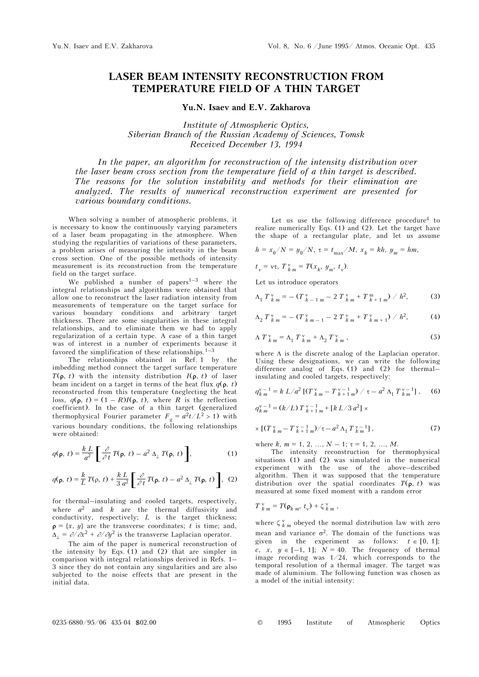## **LASER BEAM INTENSITY RECONSTRUCTION FROM TEMPERATURE FIELD OF A THIN TARGET**

**Yu.N. Isaev and E.V. Zakharova** 

*Institute of Atmospheric Optics, Siberian Branch of the Russian Academy of Sciences, Tomsk Received December 13, 1994* 

*In the paper, an algorithm for reconstruction of the intensity distribution over the laser beam cross section from the temperature field of a thin target is described. The reasons for the solution instability and methods for their elimination are analyzed. The results of numerical reconstruction experiment are presented for various boundary conditions.* 

When solving a number of atmospheric problems, it is necessary to know the continuously varying parameters of a laser beam propagating in the atmosphere. When studying the regularities of variations of these parameters, a problem arises of measuring the intensity in the beam cross section. One of the possible methods of intensity measurement is its reconstruction from the temperature field on the target surface.

We published a number of papers<sup>1-3</sup> where the integral relationships and algorithms were obtained that allow one to reconstruct the laser radiation intensity from measurements of temperature on the target surface for various boundary conditions and arbitrary target thickness. There are some singularities in these integral relationships, and to eliminate them we had to apply regularization of a certain type. A case of a thin target was of interest in a number of experiments because it favored the simplification of these relationships.<sup>1–3</sup>

The relationships obtained in Ref. 1 by the imbedding method connect the target surface temperature *T*( $\rho$ , *t*) with the intensity distribution *I*( $\rho$ , *t*) of laser beam incident on a target in terms of the heat flux  $q(\mathbf{p}, t)$ reconstructed from this temperature (neglecting the heat loss,  $q(\mathbf{p}, t) = (1 - R)I(\mathbf{p}, t)$ , where *R* is the reflection coefficient). In the case of a thin target (generalized thermophysical Fourier parameter  $F_g = a^2t/L^2 > 1$ ) with various boundary conditions, the following relationships were obtained:

$$
q(\mathbf{p},\ t) = \frac{k}{a^2} \left[ \frac{\partial}{\partial t} T(\mathbf{p},\ t) - a^2 \Delta_\perp T(\mathbf{p},\ t) \right],\tag{1}
$$

$$
q(\mathbf{p}, t) = \frac{k}{L} T(\mathbf{p}, t) + \frac{k}{3} \frac{L}{a^2} \left[ \frac{\partial}{\partial t} T(\mathbf{p}, t) - a^2 \Delta_\perp T(\mathbf{p}, t) \right], (2)
$$

for thermal–insulating and cooled targets, respectively, where  $a^2$  and  $k$  are the thermal diffusivity and conductivity, respectively; *L* is the target thickness;  $\rho = \{x, y\}$  are the transverse coordinates; *t* is time; and,  $\Delta_{\perp} = \partial/\partial x^2 + \partial/\partial y^2$  is the transverse Laplacian operator.

The aim of the paper is numerical reconstruction of the intensity by Eqs. (1) and (2) that are simpler in comparison with integral relationships derived in Refs. 1– 3 since they do not contain any singularities and are also subjected to the noise effects that are present in the initial data.

Let us use the following difference procedure<sup>4</sup> to realize numerically Eqs. (1) and (2). Let the target have the shape of a rectangular plate, and let us assume

$$
h = x_0/N = y_0/N, \; \tau = t_{\rm max}/M, \; x_k = kh, \; y_m = hm,
$$

$$
t_v = \mathbf{v}\tau, \; T_{k m}^{\nu} = T(x_k, y_m, t_{\nu}).
$$

Let us introduce operators

$$
\Lambda_1 T_{k m}^{\nu} = - (T_{k-1 m}^{\nu} - 2 T_{k m}^{\nu} + T_{k+1 m}^m) / h^2, \tag{3}
$$

$$
\Lambda_2 T_{k m}^{\nu} = - (T_{k m-1}^{\nu} - 2 T_{k m}^{\nu} + T_{k m+1}^{\nu}) / h^2, \qquad (4)
$$

$$
\Lambda T_{k m}^{\nu} = \Lambda_1 T_{k m}^{\nu} + \Lambda_2 T_{k m}^{\nu} , \qquad (5)
$$

where Λ is the discrete analog of the Laplacian operator. Using these designations, we can write the following difference analog of Eqs.  $(1)$  and  $(2)$  for thermal– insulating and cooled targets, respectively:

$$
q_{k\,m}^{\nu-1} = k \, L/a^2 \left[ (T_{k\,m}^{\nu} - T_{k+1\,m}^{\nu-1}) \, / \, \tau - a^2 \, \Lambda_1 \, T_{k\,m}^{\nu-1} \right], \quad (6)
$$

$$
q_{k,m}^{\nu-1} = (k/L) T_{k+1,m}^{\nu-1} + [k L/3 a^2] \times
$$

$$
\times \left[ (T_{k_m}^{\nu} - T_{k+1_m}^{\nu-1}) / \tau - a^2 \Lambda_1 T_{k_m}^{\nu-1} \right], \tag{7}
$$

where *k*,  $m = 1, 2, ..., N - 1$ ;  $\tau = 1, 2, ..., M$ .

The intensity reconstruction for thermophysical situations (1) and (2) was simulated in the numerical experiment with the use of the above–described algorithm. Then it was supposed that the temperature distribution over the spatial coordinates  $T(\rho, t)$  was measured at some fixed moment with a random error

$$
T_{k m}^{\nu} = T(\mathbf{p}_{k m}, t_{\nu}) + \zeta_{k m}^{\nu},
$$

where  $\zeta_{k,m}^{\nu}$  obeyed the normal distribution law with zero mean and variance  $\sigma^2$ . The domain of the functions was given in the experiment as follows:  $t \in [0, 1]$ ; *c*, *x*,  $y \in [-1, 1]$ ;  $N = 40$ . The frequency of thermal image recording was 1/24, which corresponds to the temporal resolution of a thermal imager. The target was made of aluminium. The following function was chosen as a model of the initial intensity: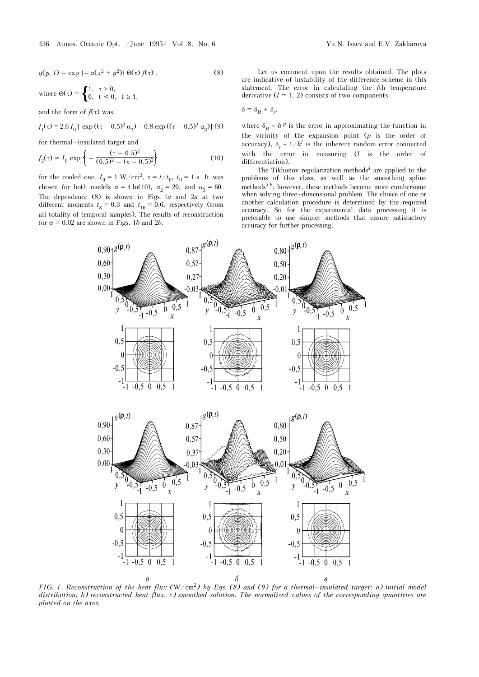$$
q(\mathbf{p}, t) = \exp\left\{-\alpha(x^2 + y^2)\right\} \Theta(\tau) f(\tau), \qquad (8)
$$

where  $\Theta(\tau) = \begin{cases} 1, & \tau \geq 0, \\ 0, & t < 0, \end{cases}$ 0,  $t < 0$ ,  $t \ge 1$ ,

and the form of  $f(\tau)$  was

$$
f_1(\tau) = 2.6 I_0 [\exp ((\tau - 0.5)^2 \alpha_2) - 0.8 \exp ((\tau - 0.5)^2 \alpha_3)] (9)
$$

for thermal–insulated target and

$$
f_2(\tau) = I_0 \exp\left\{-\frac{(\tau - 0.5)^2}{(0.5)^2 - (\tau - 0.5)^2}\right\}
$$
 (10)

for the cooled one,  $I_0 = 1 \text{ W/cm}^2$ ,  $\tau = t/t_0$ ,  $t_0 = 1 \text{ s}$ . It was chosen for both models  $\alpha = 4 \ln(10)$ ,  $\alpha_2 = 20$ , and  $\alpha_3 = 60$ . The dependence (8) is shown in Figs. 1*a* and 2*a* at two different moments  $t_8 = 0.3$  and  $t_{16} = 0.6$ , respectively (from all totality of temporal samples). The results of reconstruction for  $\sigma = 0.02$  are shown in Figs. 1*b* and 2*b*.

Let us comment upon the results obtained. The plots are indicative of instability of the difference scheme in this statement. The error in calculating the *l*th temperature derivative  $(l = 1, 2)$  consists of two components

$$
\delta = \delta_R + \delta_r,
$$

where  $\delta_R \sim h^p$  is the error in approximating the function in the vicinity of the expansion point (*p* is the order of accuracy),  $\delta_r \sim 1/h^l$  is the inherent random error connected with the error in measuring (*l* is the order of differentiation).

The Tikhonov regularization methods<sup>4</sup> are applied to the problems of this class, as well as the smoothing spline methods<sup>5,6</sup>; however, these methods become more cumbersome when solving three–dimensional problem. The choice of one or another calculation procedure is determined by the required accuracy. So for the experimental data processing it is preferable to use simpler methods that ensure satisfactory accuracy for further processing.



*FIG. 1. Reconstruction of the heat flux (* $W/cm<sup>2</sup>$ *) by Eqs. (8) and (9) for a thermal–insulated target: a) initial model distribution, b) reconstructed heat flux, c) smoothed solution. The normalized values of the corresponding quantities are plotted on the axes.*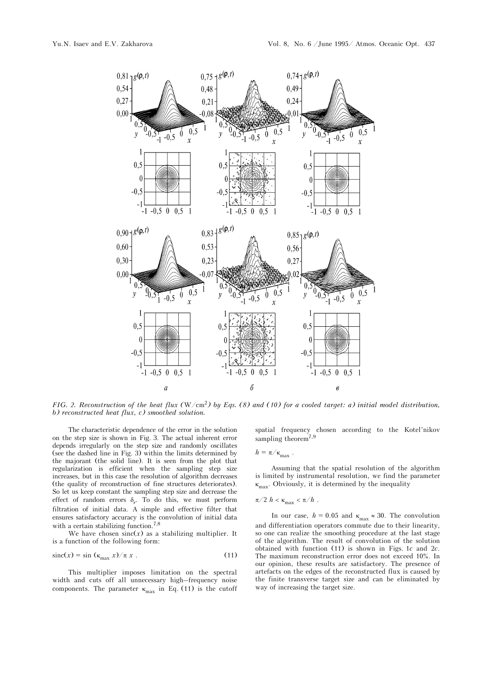

FIG. 2. Reconstruction of the heat flux  $(W/cm^2)$  by Eqs. (8) and (10) for a cooled target: a) initial model distribution, *b) reconstructed heat flux, c) smoothed solution.* 

The characteristic dependence of the error in the solution on the step size is shown in Fig. 3. The actual inherent error depends irregularly on the step size and randomly oscillates (see the dashed line in Fig. 3) within the limits determined by the majorant (the solid line). It is seen from the plot that regularization is efficient when the sampling step size increases, but in this case the resolution of algorithm decreases (the quality of reconstruction of fine structures deteriorates). So let us keep constant the sampling step size and decrease the effect of random errors  $\delta_r$ . To do this, we must perform filtration of initial data. A simple and effective filter that ensures satisfactory accuracy is the convolution of initial data with a certain stabilizing function.<sup>7,8</sup>

We have chosen  $sinc(x)$  as a stabilizing multiplier. It is a function of the following form:

$$
\operatorname{sinc}(x) = \sin \left( \kappa_{\max} \, x \right) / \pi \, x \tag{11}
$$

This multiplier imposes limitation on the spectral width and cuts off all unnecessary high–frequency noise components. The parameter  $\kappa_{\text{max}}$  in Eq. (11) is the cutoff spatial frequency chosen according to the Kotel'nikov sampling theorem<sup>7,9</sup>

$$
h=\pi/\kappa_{\max}.
$$

Assuming that the spatial resolution of the algorithm is limited by instrumental resolution, we find the parameter  $\kappa_{\text{max}}$ . Obviously, it is determined by the inequality

$$
\pi/2 h < \kappa_{\text{max}} < \pi/h \; .
$$

In our case,  $h = 0.05$  and  $\kappa_{\text{max}} \approx 30$ . The convolution and differentiation operators commute due to their linearity, so one can realize the smoothing procedure at the last stage of the algorithm. The result of convolution of the solution obtained with function (11) is shown in Figs. 1*c* and 2*c*. The maximum reconstruction error does not exceed 10%. In our opinion, these results are satisfactory. The presence of artefacts on the edges of the reconstructed flux is caused by the finite transverse target size and can be eliminated by way of increasing the target size.